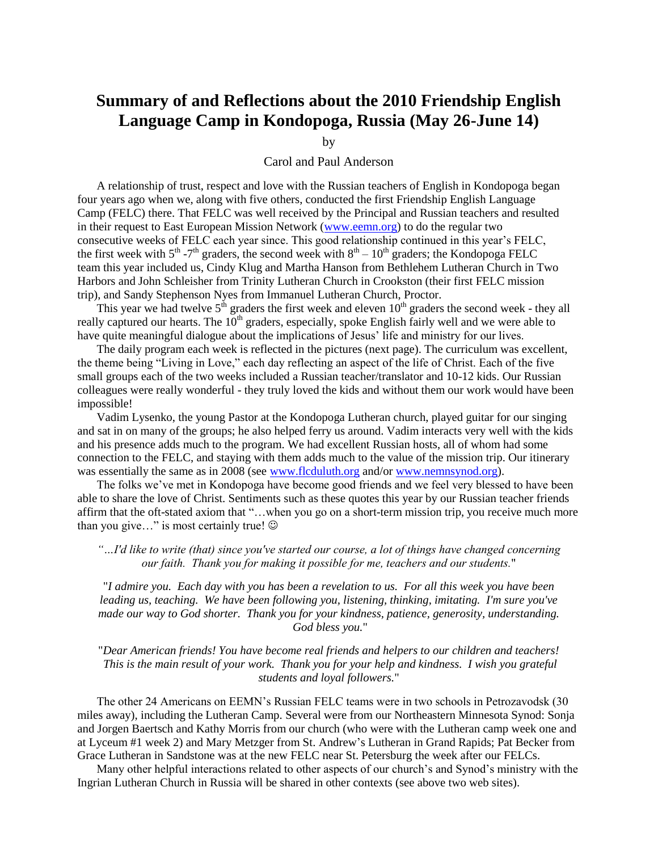## **Summary of and Reflections about the 2010 Friendship English Language Camp in Kondopoga, Russia (May 26-June 14)**

by

## Carol and Paul Anderson

A relationship of trust, respect and love with the Russian teachers of English in Kondopoga began four years ago when we, along with five others, conducted the first Friendship English Language Camp (FELC) there. That FELC was well received by the Principal and Russian teachers and resulted in their request to East European Mission Network [\(www.eemn.org\)](http://www.eemn.org/) to do the regular two consecutive weeks of FELC each year since. This good relationship continued in this year's FELC, the first week with  $5^{th}$  -7<sup>th</sup> graders, the second week with  $8^{th}$  –  $10^{th}$  graders; the Kondopoga FELC team this year included us, Cindy Klug and Martha Hanson from Bethlehem Lutheran Church in Two Harbors and John Schleisher from Trinity Lutheran Church in Crookston (their first FELC mission trip), and Sandy Stephenson Nyes from Immanuel Lutheran Church, Proctor.

This year we had twelve  $5<sup>th</sup>$  graders the first week and eleven  $10<sup>th</sup>$  graders the second week - they all really captured our hearts. The  $10<sup>th</sup>$  graders, especially, spoke English fairly well and we were able to have quite meaningful dialogue about the implications of Jesus' life and ministry for our lives.

The daily program each week is reflected in the pictures (next page). The curriculum was excellent, the theme being "Living in Love," each day reflecting an aspect of the life of Christ. Each of the five small groups each of the two weeks included a Russian teacher/translator and 10-12 kids. Our Russian colleagues were really wonderful - they truly loved the kids and without them our work would have been impossible!

Vadim Lysenko, the young Pastor at the Kondopoga Lutheran church, played guitar for our singing and sat in on many of the groups; he also helped ferry us around. Vadim interacts very well with the kids and his presence adds much to the program. We had excellent Russian hosts, all of whom had some connection to the FELC, and staying with them adds much to the value of the mission trip. Our itinerary was essentially the same as in 2008 (see [www.flcduluth.org](http://www.flcduluth.org/) and/or [www.nemnsynod.org\)](http://www.nemnsynod.org/).

The folks we've met in Kondopoga have become good friends and we feel very blessed to have been able to share the love of Christ. Sentiments such as these quotes this year by our Russian teacher friends affirm that the oft-stated axiom that "…when you go on a short-term mission trip, you receive much more than you give..." is most certainly true!  $\odot$ 

*"…I'd like to write (that) since you've started our course, a lot of things have changed concerning our faith. Thank you for making it possible for me, teachers and our students.*"

"*I admire you. Each day with you has been a revelation to us. For all this week you have been leading us, teaching. We have been following you, listening, thinking, imitating. I'm sure you've made our way to God shorter. Thank you for your kindness, patience, generosity, understanding. God bless you.*"

"*Dear American friends! You have become real friends and helpers to our children and teachers! This is the main result of your work. Thank you for your help and kindness. I wish you grateful students and loyal followers.*"

The other 24 Americans on EEMN's Russian FELC teams were in two schools in Petrozavodsk (30 miles away), including the Lutheran Camp. Several were from our Northeastern Minnesota Synod: Sonja and Jorgen Baertsch and Kathy Morris from our church (who were with the Lutheran camp week one and at Lyceum #1 week 2) and Mary Metzger from St. Andrew's Lutheran in Grand Rapids; Pat Becker from Grace Lutheran in Sandstone was at the new FELC near St. Petersburg the week after our FELCs.

Many other helpful interactions related to other aspects of our church's and Synod's ministry with the Ingrian Lutheran Church in Russia will be shared in other contexts (see above two web sites).